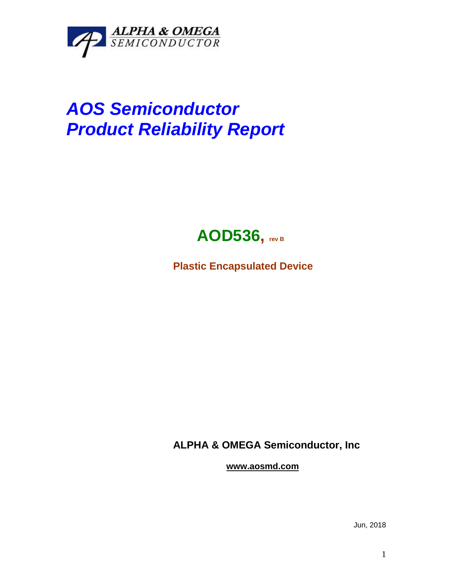

## *AOS Semiconductor Product Reliability Report*



**Plastic Encapsulated Device**

**ALPHA & OMEGA Semiconductor, Inc**

**www.aosmd.com**

Jun, 2018